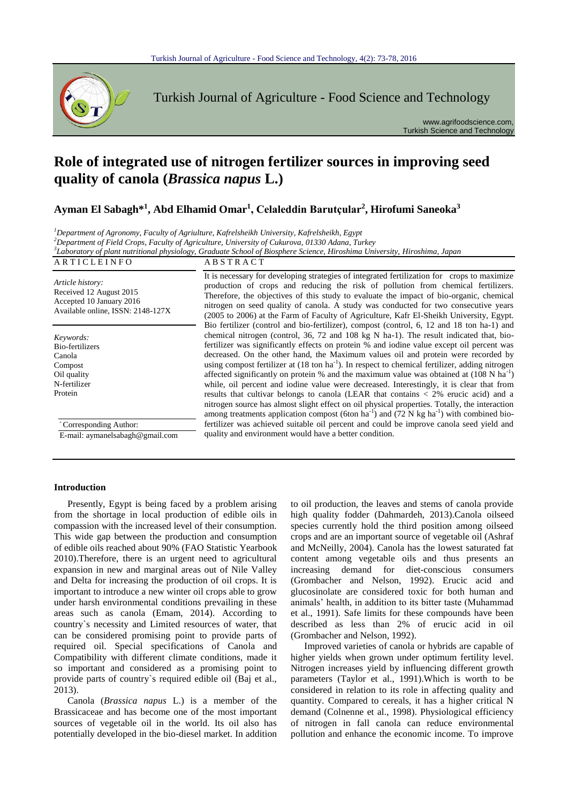

Turkish Journal of Agriculture - Food Science and Technology

www.agrifoodscience.com, Turkish Science and Technology

# **Role of integrated use of nitrogen fertilizer sources in improving seed quality of canola (***Brassica napus* **L.)**

**Ayman El Sabagh\*<sup>1</sup> , Abd Elhamid Omar<sup>1</sup> , Celaleddin Barutçular<sup>2</sup> , Hirofumi Saneoka<sup>3</sup>**

*<sup>1</sup>Department of Agronomy, Faculty of Agriulture, Kafrelsheikh University, Kafrelsheikh, Egypt*

*<sup>2</sup>Department of Field Crops, Faculty of Agriculture, University of Cukurova, 01330 Adana, Turkey*

*3 Laboratory of plant nutritional physiology, Graduate School of Biosphere Science, Hiroshima University, Hiroshima, Japan*

| ARTICLEINFO                                                                                                  | <b>ABSTRACT</b>                                                                                                                                                                                                                                                                                                                                                                                                                                                                                                                                                                                                                                                                                                                                                                                                                                                                                                                                                                                                      |  |  |  |  |
|--------------------------------------------------------------------------------------------------------------|----------------------------------------------------------------------------------------------------------------------------------------------------------------------------------------------------------------------------------------------------------------------------------------------------------------------------------------------------------------------------------------------------------------------------------------------------------------------------------------------------------------------------------------------------------------------------------------------------------------------------------------------------------------------------------------------------------------------------------------------------------------------------------------------------------------------------------------------------------------------------------------------------------------------------------------------------------------------------------------------------------------------|--|--|--|--|
| Article history:<br>Received 12 August 2015<br>Accepted 10 January 2016<br>Available online, ISSN: 2148-127X | It is necessary for developing strategies of integrated fertilization for crops to maximize<br>production of crops and reducing the risk of pollution from chemical fertilizers.<br>Therefore, the objectives of this study to evaluate the impact of bio-organic, chemical<br>nitrogen on seed quality of canola. A study was conducted for two consecutive years<br>(2005 to 2006) at the Farm of Faculty of Agriculture, Kafr El-Sheikh University, Egypt.                                                                                                                                                                                                                                                                                                                                                                                                                                                                                                                                                        |  |  |  |  |
| Keywords:<br>Bio-fertilizers<br>Canola<br>Compost<br>Oil quality<br>N-fertilizer<br>Protein                  | Bio fertilizer (control and bio-fertilizer), compost (control, 6, 12 and 18 ton ha-1) and<br>chemical nitrogen (control, 36, 72 and 108 kg N ha-1). The result indicated that, bio-<br>fertilizer was significantly effects on protein % and iodine value except oil percent was<br>decreased. On the other hand, the Maximum values oil and protein were recorded by<br>using compost fertilizer at $(18 \text{ ton ha}^{-1})$ . In respect to chemical fertilizer, adding nitrogen<br>affected significantly on protein % and the maximum value was obtained at $(108 \text{ N} \text{ ha}^{-1})$<br>while, oil percent and iodine value were decreased. Interestingly, it is clear that from<br>results that cultivar belongs to canola (LEAR that contains $\langle 2\%$ erucic acid) and a<br>nitrogen source has almost slight effect on oil physical properties. Totally, the interaction<br>among treatments application compost (6ton ha <sup>-1</sup> ) and (72 N kg ha <sup>-1</sup> ) with combined bio- |  |  |  |  |
| Corresponding Author:                                                                                        | fertilizer was achieved suitable oil percent and could be improve canola seed yield and                                                                                                                                                                                                                                                                                                                                                                                                                                                                                                                                                                                                                                                                                                                                                                                                                                                                                                                              |  |  |  |  |
| E-mail: aymanelsabagh@gmail.com                                                                              | quality and environment would have a better condition.                                                                                                                                                                                                                                                                                                                                                                                                                                                                                                                                                                                                                                                                                                                                                                                                                                                                                                                                                               |  |  |  |  |

# **Introduction**

Presently, Egypt is being faced by a problem arising from the shortage in local production of edible oils in compassion with the increased level of their consumption. This wide gap between the production and consumption of edible oils reached about 90% (FAO Statistic Yearbook 2010).Therefore, there is an urgent need to agricultural expansion in new and marginal areas out of Nile Valley and Delta for increasing the production of oil crops. It is important to introduce a new winter oil crops able to grow under harsh environmental conditions prevailing in these areas such as canola (Emam, 2014). According to country`s necessity and Limited resources of water, that can be considered promising point to provide parts of required oil. Special specifications of Canola and Compatibility with different climate conditions, made it so important and considered as a promising point to provide parts of country`s required edible oil (Baj et al., 2013).

Canola (*Brassica napus* L.) is a member of the Brassicaceae and has become one of the most important sources of vegetable oil in the world. Its oil also has potentially developed in the bio-diesel market. In addition to oil production, the leaves and stems of canola provide high quality fodder (Dahmardeh, 2013).Canola oilseed species currently hold the third position among oilseed crops and are an important source of vegetable oil (Ashraf and McNeilly, 2004). Canola has the lowest saturated fat content among vegetable oils and thus presents an increasing demand for diet-conscious consumers (Grombacher and Nelson, 1992). Erucic acid and glucosinolate are considered toxic for both human and animals' health, in addition to its bitter taste (Muhammad et al., 1991). Safe limits for these compounds have been described as less than 2% of erucic acid in oil (Grombacher and Nelson, 1992).

Improved varieties of canola or hybrids are capable of higher yields when grown under optimum fertility level. Nitrogen increases yield by influencing different growth parameters (Taylor et al., 1991).Which is worth to be considered in relation to its role in affecting quality and quantity. Compared to cereals, it has a higher critical N demand (Colnenne et al., 1998). Physiological efficiency of nitrogen in fall canola can reduce environmental pollution and enhance the economic income. To improve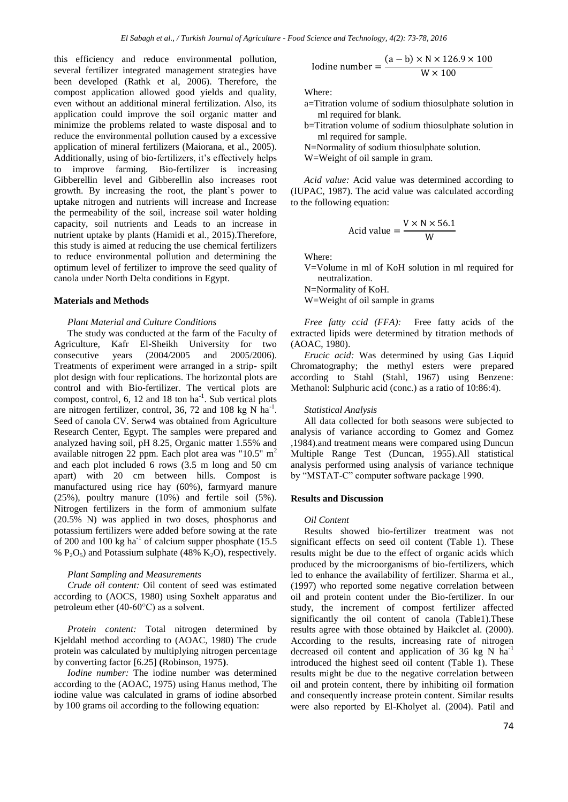this efficiency and reduce environmental pollution, several fertilizer integrated management strategies have been developed (Rathk et al, 2006). Therefore, the compost application allowed good yields and quality, even without an additional mineral fertilization. Also, its application could improve the soil organic matter and minimize the problems related to waste disposal and to reduce the environmental pollution caused by a excessive application of mineral fertilizers (Maiorana, et al., 2005). Additionally, using of bio-fertilizers, it's effectively helps to improve farming. Bio-fertilizer is increasing Gibberellin level and Gibberellin also increases root growth. By increasing the root, the plant`s power to uptake nitrogen and nutrients will increase and Increase the permeability of the soil, increase soil water holding capacity, soil nutrients and Leads to an increase in nutrient uptake by plants (Hamidi et al., 2015).Therefore, this study is aimed at reducing the use chemical fertilizers to reduce environmental pollution and determining the optimum level of fertilizer to improve the seed quality of canola under North Delta conditions in Egypt.

#### **Materials and Methods**

#### *Plant Material and Culture Conditions*

The study was conducted at the farm of the Faculty of Agriculture, Kafr El-Sheikh University for two consecutive years (2004/2005 and 2005/2006). Treatments of experiment were arranged in a strip- spilt plot design with four replications. The horizontal plots are control and with Bio-fertilizer. The vertical plots are compost, control,  $6$ ,  $12$  and  $18$  ton  $ha^{-1}$ . Sub vertical plots are nitrogen fertilizer, control, 36, 72 and 108 kg N  $\mathrm{ha}^{-1}$ . Seed of canola CV. Serw4 was obtained from Agriculture Research Center, Egypt. The samples were prepared and analyzed having soil, pH 8.25, Organic matter 1.55% and available nitrogen 22 ppm. Each plot area was " $10.5$ " m<sup>2</sup> and each plot included 6 rows (3.5 m long and 50 cm apart) with 20 cm between hills. Compost is manufactured using rice hay (60%), farmyard manure (25%), poultry manure (10%) and fertile soil (5%). Nitrogen fertilizers in the form of ammonium sulfate (20.5% N) was applied in two doses, phosphorus and potassium fertilizers were added before sowing at the rate of 200 and 100 kg ha<sup>-1</sup> of calcium supper phosphate  $(15.5$ %  $P_2O_5$ ) and Potassium sulphate (48% K<sub>2</sub>O), respectively.

## *Plant Sampling and Measurements*

*Crude oil content:* Oil content of seed was estimated according to (AOCS, 1980) using Soxhelt apparatus and petroleum ether (40-60°C) as a solvent.

*Protein content:* Total nitrogen determined by Kjeldahl method according to (AOAC, 1980) The crude protein was calculated by multiplying nitrogen percentage by converting factor [6.25] **(**Robinson, 1975**)**.

*Iodine number:* The iodine number was determined according to the (AOAC, 1975) using Hanus method, The iodine value was calculated in grams of iodine absorbed by 100 grams oil according to the following equation:

Iodine number = 
$$
\frac{(a - b) \times N \times 126.9 \times 100}{W \times 100}
$$

Where:

- a=Titration volume of sodium thiosulphate solution in ml required for blank.
- b=Titration volume of sodium thiosulphate solution in ml required for sample.
- N=Normality of sodium thiosulphate solution.
- W=Weight of oil sample in gram.

*Acid value:* Acid value was determined according to (IUPAC, 1987). The acid value was calculated according to the following equation:

$$
Acid value = \frac{V \times N \times 56.1}{W}
$$

Where:

V=Volume in ml of KoH solution in ml required for neutralization.

N=Normality of KoH.

W=Weight of oil sample in grams

*Free fatty ccid (FFA):* Free fatty acids of the extracted lipids were determined by titration methods of (AOAC, 1980).

*Erucic acid:* Was determined by using Gas Liquid Chromatography; the methyl esters were prepared according to Stahl (Stahl, 1967) using Benzene: Methanol: Sulphuric acid (conc.) as a ratio of 10:86:4).

# *Statistical Analysis*

All data collected for both seasons were subjected to analysis of variance according to Gomez and Gomez ,1984).and treatment means were compared using Duncun Multiple Range Test (Duncan, 1955).All statistical analysis performed using analysis of variance technique by "MSTAT-C" computer software package 1990.

# **Results and Discussion**

#### *Oil Content*

Results showed bio-fertilizer treatment was not significant effects on seed oil content (Table 1). These results might be due to the effect of organic acids which produced by the microorganisms of bio-fertilizers, which led to enhance the availability of fertilizer. Sharma et al., (1997) who reported some negative correlation between oil and protein content under the Bio-fertilizer. In our study, the increment of compost fertilizer affected significantly the oil content of canola (Table1).These results agree with those obtained by Haikclet al. (2000). According to the results, increasing rate of nitrogen decreased oil content and application of 36 kg N ha<sup>-1</sup> introduced the highest seed oil content (Table 1). These results might be due to the negative correlation between oil and protein content, there by inhibiting oil formation and consequently increase protein content. Similar results were also reported by El-Kholyet al. (2004). Patil and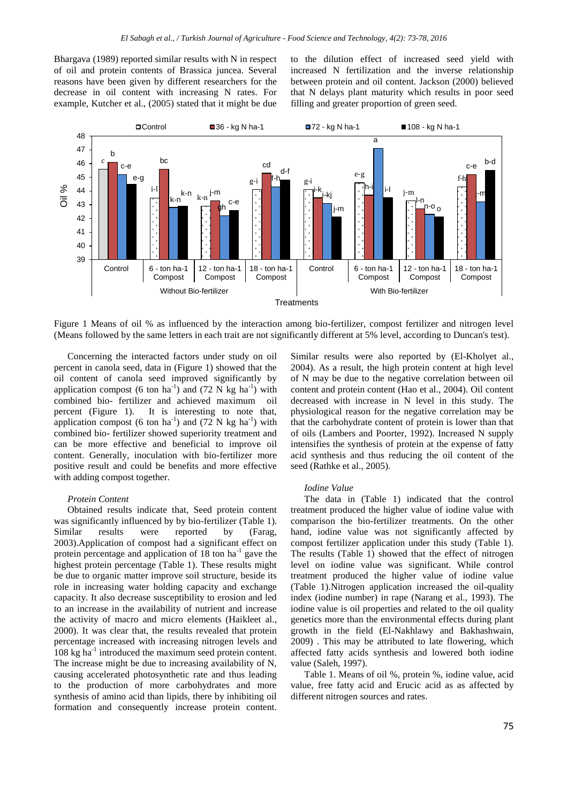Bhargava (1989) reported similar results with N in respect of oil and protein contents of Brassica juncea. Several reasons have been given by different researchers for the decrease in oil content with increasing N rates. For example, Kutcher et al., (2005) stated that it might be due

to the dilution effect of increased seed yield with increased N fertilization and the inverse relationship between protein and oil content. Jackson (2000) believed that N delays plant maturity which results in poor seed filling and greater proportion of green seed.



Figure 1 Means of oil % as influenced by the interaction among bio-fertilizer, compost fertilizer and nitrogen level (Means followed by the same letters in each trait are not significantly different at 5% level, according to Duncan's test).

Concerning the interacted factors under study on oil percent in canola seed, data in (Figure 1) showed that the oil content of canola seed improved significantly by application compost (6 ton ha<sup>-1</sup>) and (72 N kg ha<sup>-1</sup>) with combined bio- fertilizer and achieved maximum oil percent (Figure 1). It is interesting to note that, application compost (6 ton ha<sup>-1</sup>) and (72 N kg ha<sup>-1</sup>) with combined bio- fertilizer showed superiority treatment and can be more effective and beneficial to improve oil content. Generally, inoculation with bio-fertilizer more positive result and could be benefits and more effective with adding compost together.

### *Protein Content*

Obtained results indicate that, Seed protein content was significantly influenced by by bio-fertilizer (Table 1). Similar results were reported by (Farag, 2003).Application of compost had a significant effect on protein percentage and application of  $18$  ton ha<sup>-1</sup> gave the highest protein percentage (Table 1). These results might be due to organic matter improve soil structure, beside its role in increasing water holding capacity and exchange capacity. It also decrease susceptibility to erosion and led to an increase in the availability of nutrient and increase the activity of macro and micro elements (Haikleet al., 2000). It was clear that, the results revealed that protein percentage increased with increasing nitrogen levels and 108 kg ha<sup>-1</sup> introduced the maximum seed protein content. The increase might be due to increasing availability of N, causing accelerated photosynthetic rate and thus leading to the production of more carbohydrates and more synthesis of amino acid than lipids, there by inhibiting oil formation and consequently increase protein content.

Similar results were also reported by (El-Kholyet al., 2004). As a result, the high protein content at high level of N may be due to the negative correlation between oil content and protein content (Hao et al., 2004). Oil content decreased with increase in N level in this study. The physiological reason for the negative correlation may be that the carbohydrate content of protein is lower than that of oils (Lambers and Poorter, 1992). Increased N supply intensifies the synthesis of protein at the expense of fatty acid synthesis and thus reducing the oil content of the seed (Rathke et al., 2005).

#### *Iodine Value*

The data in (Table 1) indicated that the control treatment produced the higher value of iodine value with comparison the bio-fertilizer treatments. On the other hand, iodine value was not significantly affected by compost fertilizer application under this study (Table 1). The results (Table 1) showed that the effect of nitrogen level on iodine value was significant. While control treatment produced the higher value of iodine value (Table 1).Nitrogen application increased the oil-quality index (iodine number) in rape (Narang et al., 1993). The iodine value is oil properties and related to the oil quality genetics more than the environmental effects during plant growth in the field (El-Nakhlawy and Bakhashwain, 2009) . This may be attributed to late flowering, which affected fatty acids synthesis and lowered both iodine value (Saleh, 1997).

Table 1. Means of oil %, protein %, iodine value, acid value, free fatty acid and Erucic acid as as affected by different nitrogen sources and rates.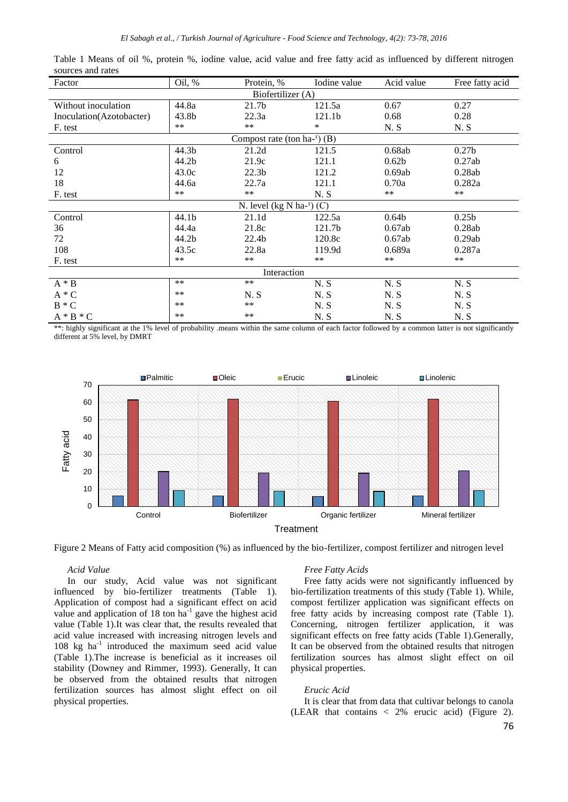| Factor                            | Oil, %            | Protein, %        | Iodine value | Acid value        | Free fatty acid   |  |  |
|-----------------------------------|-------------------|-------------------|--------------|-------------------|-------------------|--|--|
| Biofertilizer (A)                 |                   |                   |              |                   |                   |  |  |
| Without inoculation               | 44.8a             | 21.7b             | 121.5a       | 0.67              | 0.27              |  |  |
| Inoculation(Azotobacter)          | 43.8b             | 22.3a             | 121.1b       | 0.68              | 0.28              |  |  |
| F. test                           | **                | $**$              | $\ast$       | N.S               | N.S               |  |  |
| Compost rate (ton $ha^{-1}$ ) (B) |                   |                   |              |                   |                   |  |  |
| Control                           | 44.3b             | 21.2d             | 121.5        | 0.68ab            | 0.27 <sub>b</sub> |  |  |
| 6                                 | 44.2 <sub>b</sub> | 21.9c             | 121.1        | 0.62 <sub>b</sub> | 0.27ab            |  |  |
| 12                                | 43.0c             | 22.3 <sub>b</sub> | 121.2        | 0.69ab            | 0.28ab            |  |  |
| 18                                | 44.6a             | 22.7a             | 121.1        | 0.70a             | 0.282a            |  |  |
| F. test                           | **                | $***$             | N.S          | $***$             | $***$             |  |  |
| N. level $(kg N ha-1)$ (C)        |                   |                   |              |                   |                   |  |  |
| Control                           | 44.1b             | 21.1d             | 122.5a       | 0.64 <sub>b</sub> | 0.25 <sub>b</sub> |  |  |
| 36                                | 44.4a             | 21.8c             | 121.7b       | 0.67ab            | 0.28ab            |  |  |
| 72                                | 44.2b             | 22.4b             | 120.8c       | 0.67ab            | 0.29ab            |  |  |
| 108                               | 43.5c             | 22.8a             | 119.9d       | 0.689a            | 0.287a            |  |  |
| F. test                           | $***$             | $***$             | $**$         | $\ast\ast$        | $***$             |  |  |
| Interaction                       |                   |                   |              |                   |                   |  |  |
| $A * B$                           | $**$              | $**$              | N.S          | N.S               | N.S               |  |  |
| $A * C$                           | $**$              | N.S               | N.S          | N.S               | N.S               |  |  |
| $B * C$                           | **                | $***$             | N.S          | N.S               | N.S               |  |  |
| $A * B * C$                       | $***$             | $**$              | N.S          | N.S               | N.S               |  |  |

Table 1 Means of oil %, protein %, iodine value, acid value and free fatty acid as influenced by different nitrogen sources and rates

\*\*: highly significant at the 1% level of probability .means within the same column of each factor followed by a common latter is not significantly different at 5% level, by DMRT



Figure 2 Means of Fatty acid composition (%) as influenced by the bio-fertilizer, compost fertilizer and nitrogen level

# *Acid Value*

In our study, Acid value was not significant influenced by bio-fertilizer treatments (Table 1). Application of compost had a significant effect on acid value and application of  $18$  ton ha<sup>-1</sup> gave the highest acid value (Table 1).It was clear that, the results revealed that acid value increased with increasing nitrogen levels and 108 kg ha<sup>-1</sup> introduced the maximum seed acid value (Table 1).The increase is beneficial as it increases oil stability (Downey and Rimmer, 1993). Generally, It can be observed from the obtained results that nitrogen fertilization sources has almost slight effect on oil physical properties.

## *Free Fatty Acids*

Free fatty acids were not significantly influenced by bio-fertilization treatments of this study (Table 1). While, compost fertilizer application was significant effects on free fatty acids by increasing compost rate (Table 1). Concerning, nitrogen fertilizer application, it was significant effects on free fatty acids (Table 1).Generally, It can be observed from the obtained results that nitrogen fertilization sources has almost slight effect on oil physical properties.

# *Erucic Acid*

It is clear that from data that cultivar belongs to canola (LEAR that contains < 2% erucic acid) (Figure 2).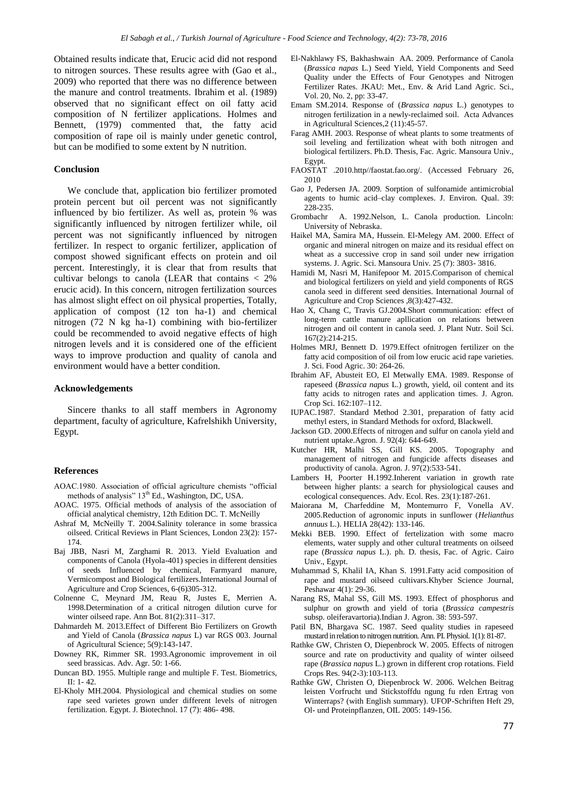Obtained results indicate that, Erucic acid did not respond to nitrogen sources. These results agree with (Gao et al., 2009) who reported that there was no difference between the manure and control treatments. Ibrahim et al. (1989) observed that no significant effect on oil fatty acid composition of N fertilizer applications. Holmes and Bennett, (1979) commented that, the fatty acid composition of rape oil is mainly under genetic control, but can be modified to some extent by N nutrition.

# **Conclusion**

We conclude that, application bio fertilizer promoted protein percent but oil percent was not significantly influenced by bio fertilizer. As well as, protein % was significantly influenced by nitrogen fertilizer while, oil percent was not significantly influenced by nitrogen fertilizer. In respect to organic fertilizer, application of compost showed significant effects on protein and oil percent. Interestingly, it is clear that from results that cultivar belongs to canola (LEAR that contains  $\langle 2\% \rangle$ erucic acid). In this concern, nitrogen fertilization sources has almost slight effect on oil physical properties, Totally, application of compost (12 ton ha-1) and chemical nitrogen (72 N kg ha-1) combining with bio-fertilizer could be recommended to avoid negative effects of high nitrogen levels and it is considered one of the efficient ways to improve production and quality of canola and environment would have a better condition.

## **Acknowledgements**

Sincere thanks to all staff members in Agronomy department, faculty of agriculture, Kafrelshikh University, Egypt.

#### **References**

- AOAC.1980. Association of official agriculture chemists "official methods of analysis" 13<sup>th</sup> Ed., Washington, DC, USA.
- AOAC. 1975. Official methods of analysis of the association of official analytical chemistry, 12th Edition DC. T. McNeilly
- Ashraf M, McNeilly T. 2004.Salinity tolerance in some brassica oilseed. Critical Reviews in Plant Sciences, London 23(2): 157- 174.
- Baj JBB, Nasri M, Zarghami R. 2013. Yield Evaluation and components of Canola (Hyola-401) species in different densities of seeds Influenced by chemical, Farmyard manure, Vermicompost and Biological fertilizers.International Journal of Agriculture and Crop Sciences, 6-(6)305-312.
- Colnenne C, Meynard JM, Reau R, Justes E, Merrien A. 1998.Determination of a critical nitrogen dilution curve for winter oilseed rape. Ann Bot. 81(2):311–317.
- Dahmardeh M. 2013.Effect of Different Bio Fertilizers on Growth and Yield of Canola (*Brassica napus* L) var RGS 003. Journal of Agricultural Science; 5(9):143-147.
- Downey RK, Rimmer SR. 1993.Agronomic improvement in oil seed brassicas. Adv. Agr. 50: 1-66.
- Duncan BD. 1955. Multiple range and multiple F. Test. Biometrics, II: 1- 42.
- El-Kholy MH.2004. Physiological and chemical studies on some rape seed varietes grown under different levels of nitrogen fertilization. Egypt. J. Biotechnol. 17 (7): 486- 498.
- El-Nakhlawy FS, Bakhashwain AA. 2009. Performance of Canola (*Brassica napas* L.) Seed Yield, Yield Components and Seed Quality under the Effects of Four Genotypes and Nitrogen Fertilizer Rates. JKAU: Met., Env. & Arid Land Agric. Sci., Vol. 20, No. 2, pp: 33-47.
- Emam SM.2014. Response of (*Brassica napus* L.) genotypes to nitrogen fertilization in a newly-reclaimed soil. Acta Advances in Agricultural Sciences,2 (11):45-57.
- Farag AMH. 2003. Response of wheat plants to some treatments of soil leveling and fertilization wheat with both nitrogen and biological fertilizers. Ph.D. Thesis, Fac. Agric. Mansoura Univ., Egypt.
- FAOSTAT .2010.http//faostat.fao.org/. (Accessed February 26, 2010
- Gao J, Pedersen JA. 2009. Sorption of sulfonamide antimicrobial agents to humic acid–clay complexes. J. Environ. Qual. 39: 228-235.
- Grombachr A. 1992.Nelson, L. Canola production. Lincoln: University of Nebraska.
- Haikel MA, Samira MA, Hussein. El-Melegy AM. 2000. Effect of organic and mineral nitrogen on maize and its residual effect on wheat as a successive crop in sand soil under new irrigation systems. J. Agric. Sci. Mansoura Univ. 25 (7): 3803- 3816.
- Hamidi M, Nasri M, Hanifepoor M. 2015.Comparison of chemical and biological fertilizers on yield and yield components of RGS canola seed in different seed densities. International Journal of Agriculture and Crop Sciences ,8(3):427-432.
- Hao X, Chang C, Travis GJ.2004.Short communication: effect of long-term cattle manure apllication on relations between nitrogen and oil content in canola seed. J. Plant Nutr. Soil Sci. 167(2):214-215.
- Holmes MRJ, Bennett D. 1979.Effect ofnitrogen fertilizer on the fatty acid composition of oil from low erucic acid rape varieties. J. Sci. Food Agric. 30: 264-26.
- Ibrahim AF, Abusteit EO, El Metwally EMA. 1989. Response of rapeseed (*Brassica napus* L.) growth, yield, oil content and its fatty acids to nitrogen rates and application times. J. Agron. Crop Sci. 162:107–112.
- IUPAC.1987. Standard Method 2.301, preparation of fatty acid methyl esters, in Standard Methods for oxford, Blackwell.
- Jackson GD. 2000.Effects of nitrogen and sulfur on canola yield and nutrient uptake.Agron. J. 92(4): 644-649.
- Kutcher HR, Malhi SS, Gill KS. 2005. Topography and management of nitrogen and fungicide affects diseases and productivity of canola. Agron. J. 97(2):533-541.
- Lambers H, Poorter H.1992.Inherent variation in growth rate between higher plants: a search for physiological causes and ecological consequences. Adv. Ecol. Res. 23(1):187-261.
- Maiorana M, Charfeddine M, Montemurro F, Vonella AV. 2005.Reduction of agronomic inputs in sunflower (*Helianthus annuus* L.). HELIA 28(42): 133-146.
- Mekki BEB. 1990. Effect of fertelization with some macro elements, water supply and other cultural treatments on oilseed rape (*Brassica napus* L.). ph. D. thesis, Fac. of Agric. Cairo Univ., Egypt.
- Muhammad S, Khalil IA, Khan S. 1991.Fatty acid composition of rape and mustard oilseed cultivars.Khyber Science Journal, Peshawar 4(1): 29-36.
- Narang RS, Mahal SS, Gill MS. 1993. Effect of phosphorus and sulphur on growth and yield of toria (*Brassica campestris* subsp. oleiferavartoria).Indian J. Agron. 38: 593-597.
- Patil BN, Bhargava SC. 1987. Seed quality studies in rapeseed mustard in relation to nitrogen nutrition. Ann. PI. Physiol. 1(1): 81-87.
- Rathke GW, Christen O, Diepenbrock W. 2005. Effects of nitrogen source and rate on productivity and quality of winter oilseed rape (*Brassica napus* L.) grown in different crop rotations. Field Crops Res. 94(2-3):103-113.
- Rathke GW, Christen O, Diepenbrock W. 2006. Welchen Beitrag leisten Vorfrucht und Stickstoffdu ngung fu rden Ertrag von Winterraps? (with English summary). UFOP-Schriften Heft 29, Ol- und Proteinpflanzen, OIL 2005: 149-156.